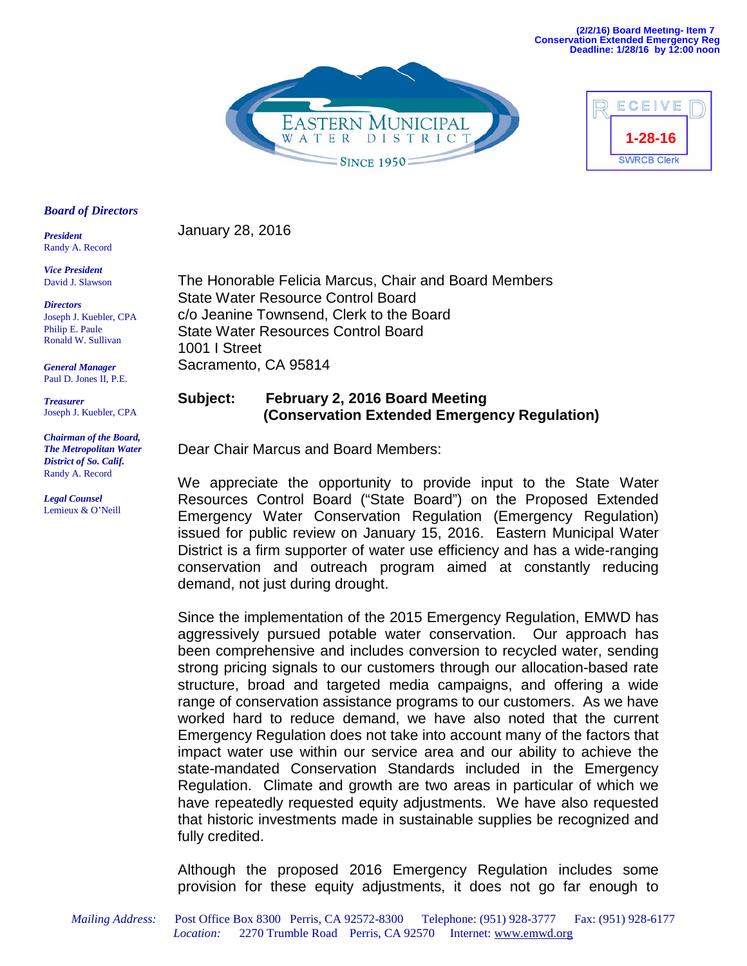



#### *Board of Directors*

*President*  Randy A. Record

*Vice President*  David J. Slawson

*Directors* Joseph J. Kuebler, CPA Philip E. Paule Ronald W. Sullivan

*General Manager* Paul D. Jones II, P.E.

*Treasurer* Joseph J. Kuebler, CPA

*Chairman of the Board, The Metropolitan Water District of So. Calif.*  Randy A. Record

*Legal Counsel*  Lemieux & O'Neill January 28, 2016

The Honorable Felicia Marcus, Chair and Board Members State Water Resource Control Board c/o Jeanine Townsend, Clerk to the Board State Water Resources Control Board 1001 I Street Sacramento, CA 95814

# **Subject: February 2, 2016 Board Meeting (Conservation Extended Emergency Regulation)**

Dear Chair Marcus and Board Members:

We appreciate the opportunity to provide input to the State Water Resources Control Board ("State Board") on the Proposed Extended Emergency Water Conservation Regulation (Emergency Regulation) issued for public review on January 15, 2016. Eastern Municipal Water District is a firm supporter of water use efficiency and has a wide-ranging conservation and outreach program aimed at constantly reducing demand, not just during drought.

Since the implementation of the 2015 Emergency Regulation, EMWD has aggressively pursued potable water conservation. Our approach has been comprehensive and includes conversion to recycled water, sending strong pricing signals to our customers through our allocation-based rate structure, broad and targeted media campaigns, and offering a wide range of conservation assistance programs to our customers. As we have worked hard to reduce demand, we have also noted that the current Emergency Regulation does not take into account many of the factors that impact water use within our service area and our ability to achieve the state-mandated Conservation Standards included in the Emergency Regulation. Climate and growth are two areas in particular of which we have repeatedly requested equity adjustments. We have also requested that historic investments made in sustainable supplies be recognized and fully credited.

Although the proposed 2016 Emergency Regulation includes some provision for these equity adjustments, it does not go far enough to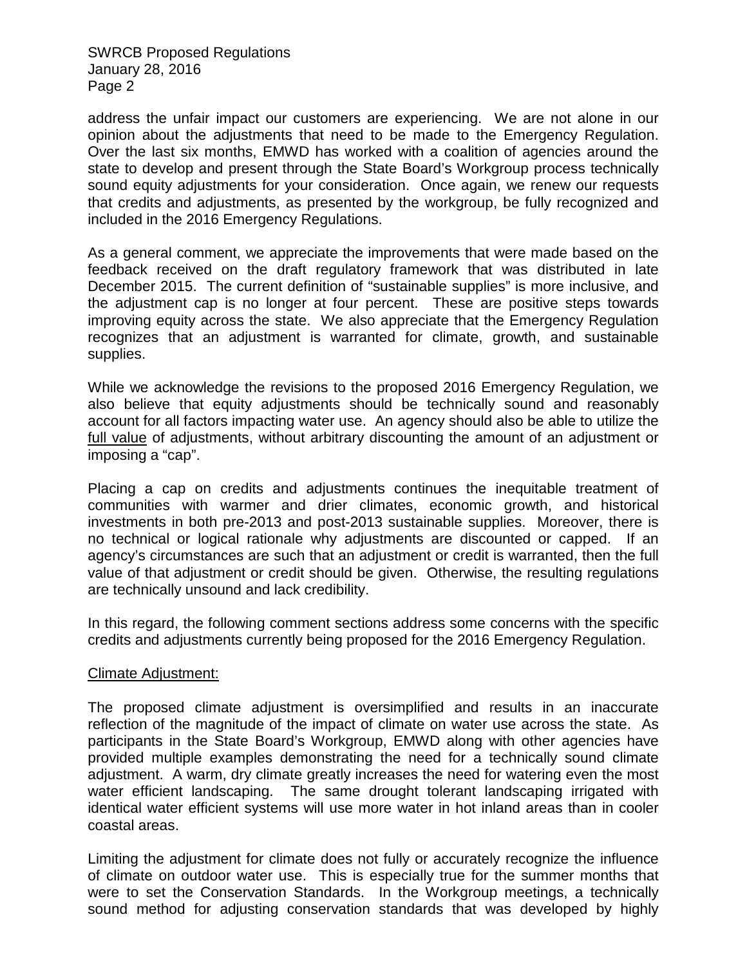address the unfair impact our customers are experiencing. We are not alone in our opinion about the adjustments that need to be made to the Emergency Regulation. Over the last six months, EMWD has worked with a coalition of agencies around the state to develop and present through the State Board's Workgroup process technically sound equity adjustments for your consideration. Once again, we renew our requests that credits and adjustments, as presented by the workgroup, be fully recognized and included in the 2016 Emergency Regulations.

As a general comment, we appreciate the improvements that were made based on the feedback received on the draft regulatory framework that was distributed in late December 2015. The current definition of "sustainable supplies" is more inclusive, and the adjustment cap is no longer at four percent. These are positive steps towards improving equity across the state. We also appreciate that the Emergency Regulation recognizes that an adjustment is warranted for climate, growth, and sustainable supplies.

While we acknowledge the revisions to the proposed 2016 Emergency Regulation, we also believe that equity adjustments should be technically sound and reasonably account for all factors impacting water use. An agency should also be able to utilize the full value of adjustments, without arbitrary discounting the amount of an adjustment or imposing a "cap".

Placing a cap on credits and adjustments continues the inequitable treatment of communities with warmer and drier climates, economic growth, and historical investments in both pre-2013 and post-2013 sustainable supplies. Moreover, there is no technical or logical rationale why adjustments are discounted or capped. If an agency's circumstances are such that an adjustment or credit is warranted, then the full value of that adjustment or credit should be given. Otherwise, the resulting regulations are technically unsound and lack credibility.

In this regard, the following comment sections address some concerns with the specific credits and adjustments currently being proposed for the 2016 Emergency Regulation.

## Climate Adjustment:

The proposed climate adjustment is oversimplified and results in an inaccurate reflection of the magnitude of the impact of climate on water use across the state. As participants in the State Board's Workgroup, EMWD along with other agencies have provided multiple examples demonstrating the need for a technically sound climate adjustment. A warm, dry climate greatly increases the need for watering even the most water efficient landscaping. The same drought tolerant landscaping irrigated with identical water efficient systems will use more water in hot inland areas than in cooler coastal areas.

Limiting the adjustment for climate does not fully or accurately recognize the influence of climate on outdoor water use. This is especially true for the summer months that were to set the Conservation Standards. In the Workgroup meetings, a technically sound method for adjusting conservation standards that was developed by highly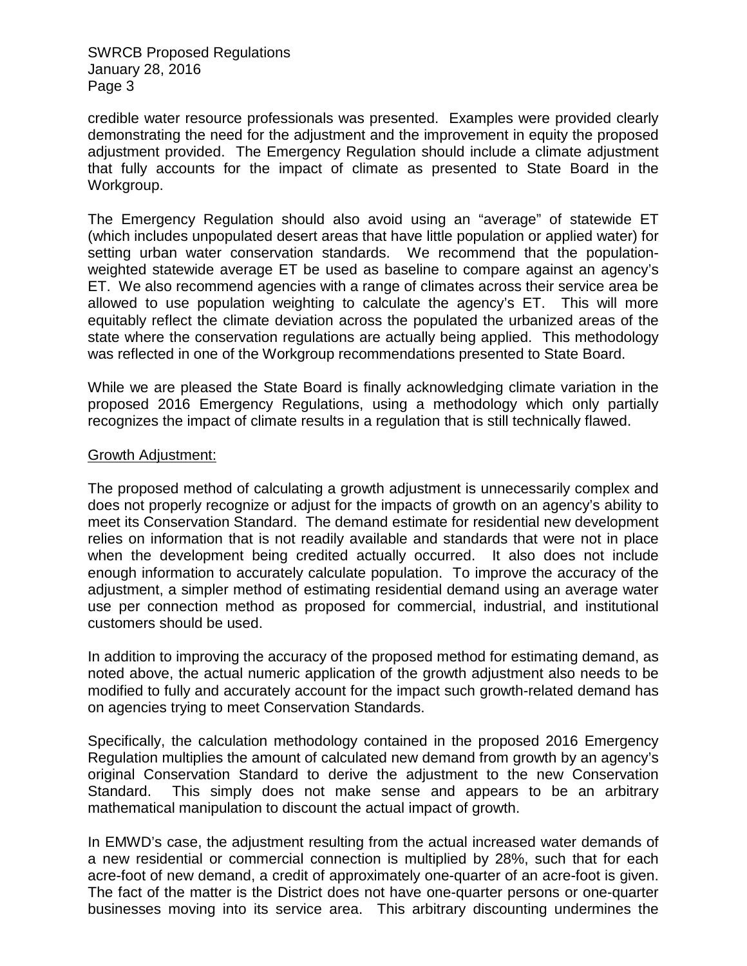credible water resource professionals was presented. Examples were provided clearly demonstrating the need for the adjustment and the improvement in equity the proposed adjustment provided. The Emergency Regulation should include a climate adjustment that fully accounts for the impact of climate as presented to State Board in the Workgroup.

The Emergency Regulation should also avoid using an "average" of statewide ET (which includes unpopulated desert areas that have little population or applied water) for setting urban water conservation standards. We recommend that the populationweighted statewide average ET be used as baseline to compare against an agency's ET. We also recommend agencies with a range of climates across their service area be allowed to use population weighting to calculate the agency's ET. This will more equitably reflect the climate deviation across the populated the urbanized areas of the state where the conservation regulations are actually being applied. This methodology was reflected in one of the Workgroup recommendations presented to State Board.

While we are pleased the State Board is finally acknowledging climate variation in the proposed 2016 Emergency Regulations, using a methodology which only partially recognizes the impact of climate results in a regulation that is still technically flawed.

## Growth Adjustment:

The proposed method of calculating a growth adjustment is unnecessarily complex and does not properly recognize or adjust for the impacts of growth on an agency's ability to meet its Conservation Standard. The demand estimate for residential new development relies on information that is not readily available and standards that were not in place when the development being credited actually occurred. It also does not include enough information to accurately calculate population. To improve the accuracy of the adjustment, a simpler method of estimating residential demand using an average water use per connection method as proposed for commercial, industrial, and institutional customers should be used.

In addition to improving the accuracy of the proposed method for estimating demand, as noted above, the actual numeric application of the growth adjustment also needs to be modified to fully and accurately account for the impact such growth-related demand has on agencies trying to meet Conservation Standards.

Specifically, the calculation methodology contained in the proposed 2016 Emergency Regulation multiplies the amount of calculated new demand from growth by an agency's original Conservation Standard to derive the adjustment to the new Conservation Standard. This simply does not make sense and appears to be an arbitrary mathematical manipulation to discount the actual impact of growth.

In EMWD's case, the adjustment resulting from the actual increased water demands of a new residential or commercial connection is multiplied by 28%, such that for each acre-foot of new demand, a credit of approximately one-quarter of an acre-foot is given. The fact of the matter is the District does not have one-quarter persons or one-quarter businesses moving into its service area. This arbitrary discounting undermines the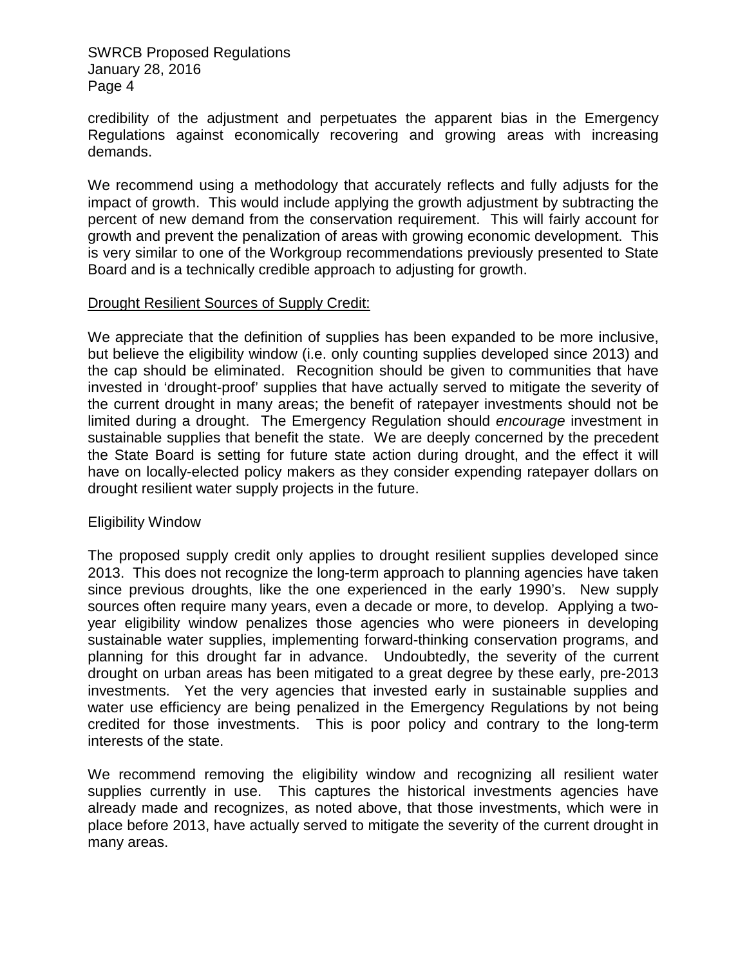credibility of the adjustment and perpetuates the apparent bias in the Emergency Regulations against economically recovering and growing areas with increasing demands.

We recommend using a methodology that accurately reflects and fully adjusts for the impact of growth. This would include applying the growth adjustment by subtracting the percent of new demand from the conservation requirement. This will fairly account for growth and prevent the penalization of areas with growing economic development. This is very similar to one of the Workgroup recommendations previously presented to State Board and is a technically credible approach to adjusting for growth.

## Drought Resilient Sources of Supply Credit:

We appreciate that the definition of supplies has been expanded to be more inclusive, but believe the eligibility window (i.e. only counting supplies developed since 2013) and the cap should be eliminated. Recognition should be given to communities that have invested in 'drought-proof' supplies that have actually served to mitigate the severity of the current drought in many areas; the benefit of ratepayer investments should not be limited during a drought. The Emergency Regulation should *encourage* investment in sustainable supplies that benefit the state. We are deeply concerned by the precedent the State Board is setting for future state action during drought, and the effect it will have on locally-elected policy makers as they consider expending ratepayer dollars on drought resilient water supply projects in the future.

## Eligibility Window

The proposed supply credit only applies to drought resilient supplies developed since 2013. This does not recognize the long-term approach to planning agencies have taken since previous droughts, like the one experienced in the early 1990's. New supply sources often require many years, even a decade or more, to develop. Applying a twoyear eligibility window penalizes those agencies who were pioneers in developing sustainable water supplies, implementing forward-thinking conservation programs, and planning for this drought far in advance. Undoubtedly, the severity of the current drought on urban areas has been mitigated to a great degree by these early, pre-2013 investments. Yet the very agencies that invested early in sustainable supplies and water use efficiency are being penalized in the Emergency Regulations by not being credited for those investments. This is poor policy and contrary to the long-term interests of the state.

We recommend removing the eligibility window and recognizing all resilient water supplies currently in use. This captures the historical investments agencies have already made and recognizes, as noted above, that those investments, which were in place before 2013, have actually served to mitigate the severity of the current drought in many areas.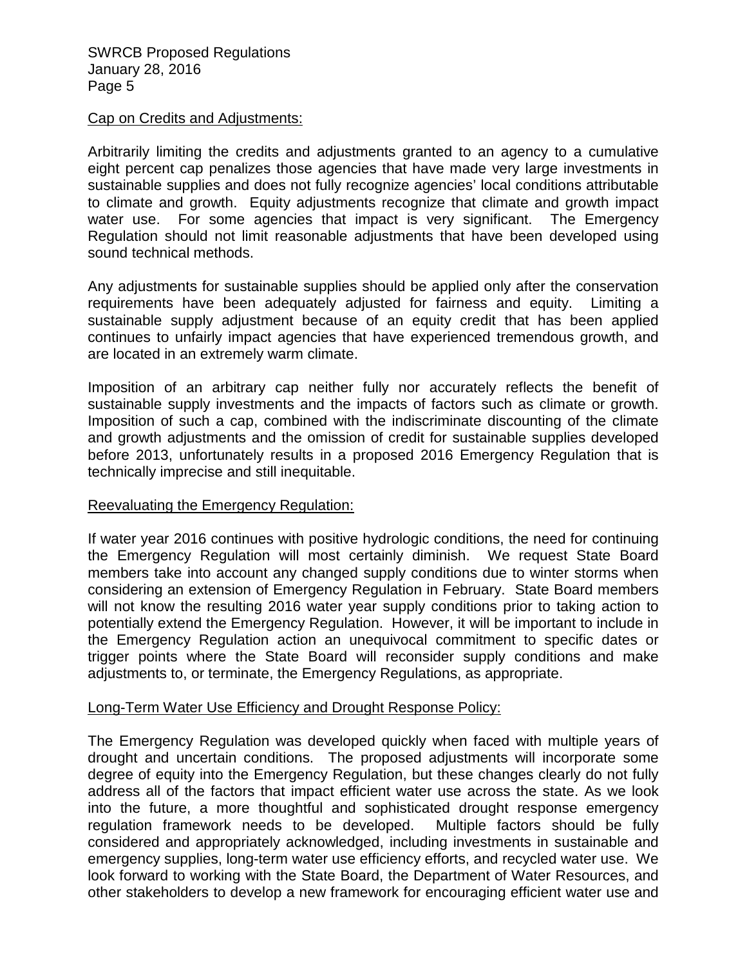#### Cap on Credits and Adjustments:

Arbitrarily limiting the credits and adjustments granted to an agency to a cumulative eight percent cap penalizes those agencies that have made very large investments in sustainable supplies and does not fully recognize agencies' local conditions attributable to climate and growth. Equity adjustments recognize that climate and growth impact water use. For some agencies that impact is very significant. The Emergency Regulation should not limit reasonable adjustments that have been developed using sound technical methods.

Any adjustments for sustainable supplies should be applied only after the conservation requirements have been adequately adjusted for fairness and equity. Limiting a sustainable supply adjustment because of an equity credit that has been applied continues to unfairly impact agencies that have experienced tremendous growth, and are located in an extremely warm climate.

Imposition of an arbitrary cap neither fully nor accurately reflects the benefit of sustainable supply investments and the impacts of factors such as climate or growth. Imposition of such a cap, combined with the indiscriminate discounting of the climate and growth adjustments and the omission of credit for sustainable supplies developed before 2013, unfortunately results in a proposed 2016 Emergency Regulation that is technically imprecise and still inequitable.

## Reevaluating the Emergency Regulation:

If water year 2016 continues with positive hydrologic conditions, the need for continuing the Emergency Regulation will most certainly diminish. We request State Board members take into account any changed supply conditions due to winter storms when considering an extension of Emergency Regulation in February. State Board members will not know the resulting 2016 water year supply conditions prior to taking action to potentially extend the Emergency Regulation. However, it will be important to include in the Emergency Regulation action an unequivocal commitment to specific dates or trigger points where the State Board will reconsider supply conditions and make adjustments to, or terminate, the Emergency Regulations, as appropriate.

## Long-Term Water Use Efficiency and Drought Response Policy:

The Emergency Regulation was developed quickly when faced with multiple years of drought and uncertain conditions. The proposed adjustments will incorporate some degree of equity into the Emergency Regulation, but these changes clearly do not fully address all of the factors that impact efficient water use across the state. As we look into the future, a more thoughtful and sophisticated drought response emergency regulation framework needs to be developed. Multiple factors should be fully considered and appropriately acknowledged, including investments in sustainable and emergency supplies, long-term water use efficiency efforts, and recycled water use. We look forward to working with the State Board, the Department of Water Resources, and other stakeholders to develop a new framework for encouraging efficient water use and